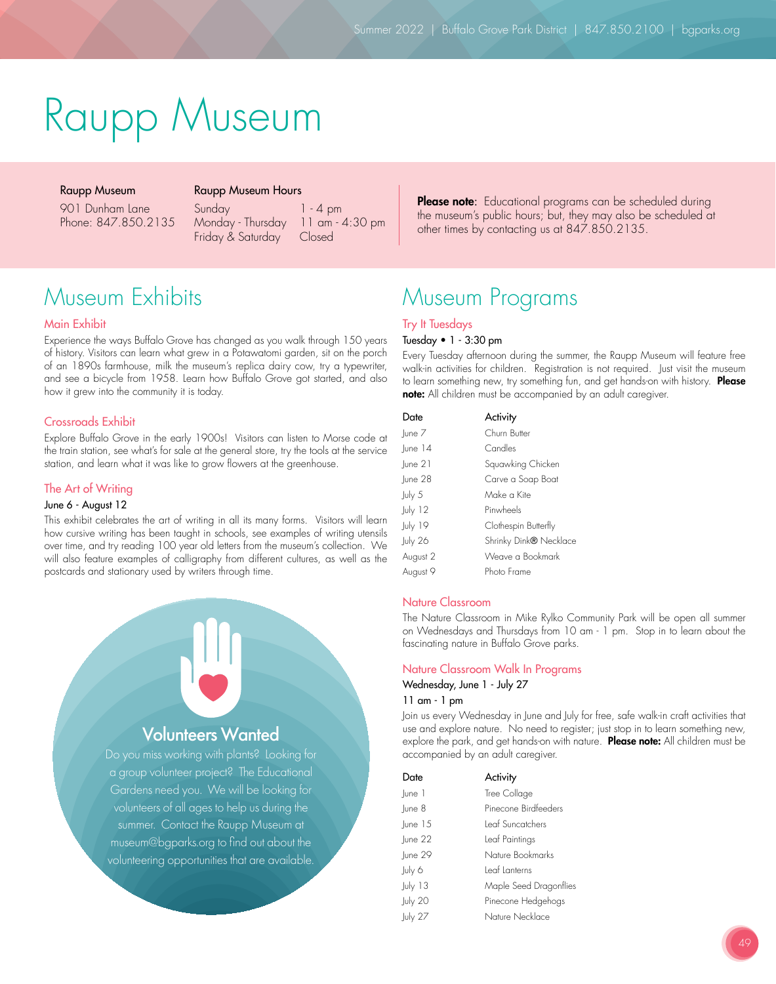# Raupp Museum

# Raupp Museum

Raupp Museum Hours

901 Dunham Lane Phone: 847.850.2135 Sunday 1 - 4 pm Monday - Thursday 11 am - 4:30 pm

Friday & Saturday Closed

Please note: Educational programs can be scheduled during the museum's public hours; but, they may also be scheduled at other times by contacting us at 847.850.2135.

# Museum Exhibits

# Main Exhibit

Experience the ways Buffalo Grove has changed as you walk through 150 years of history. Visitors can learn what grew in a Potawatomi garden, sit on the porch of an 1890s farmhouse, milk the museum's replica dairy cow, try a typewriter, and see a bicycle from 1958. Learn how Buffalo Grove got started, and also how it grew into the community it is today.

# Crossroads Exhibit

Explore Buffalo Grove in the early 1900s! Visitors can listen to Morse code at the train station, see what's for sale at the general store, try the tools at the service station, and learn what it was like to grow flowers at the greenhouse.

# The Art of Writing

### June 6 - August 12

This exhibit celebrates the art of writing in all its many forms. Visitors will learn how cursive writing has been taught in schools, see examples of writing utensils over time, and try reading 100 year old letters from the museum's collection. We will also feature examples of calligraphy from different cultures, as well as the postcards and stationary used by writers through time.



volunteers of all ages to help us during the summer. Contact the Raupp Museum at museum@bgparks.org to find out about the volunteering opportunities that are available.

# Museum Programs

# Try It Tuesdays Tuesday • 1 - 3:30 pm

Every Tuesday afternoon during the summer, the Raupp Museum will feature free walk-in activities for children. Registration is not required. Just visit the museum to learn something new, try something fun, and get hands-on with history. Please note: All children must be accompanied by an adult caregiver.

| Date      | Activity               |
|-----------|------------------------|
| lune 7    | Churn Butter           |
| $lune$ 14 | Candles                |
| une 2     | Squawking Chicken      |
| lune 28   | Carve a Soap Boat      |
| July 5    | Make a Kite            |
| July 12   | Pinwheels              |
| July 19   | Clothespin Butterfly   |
| July 26   | Shrinky Dink® Necklace |
| August 2  | Weave a Bookmark       |
| Auaust 9  | Photo Frame            |

# Nature Classroom

The Nature Classroom in Mike Rylko Community Park will be open all summer on Wednesdays and Thursdays from 10 am - 1 pm. Stop in to learn about the fascinating nature in Buffalo Grove parks.

### Nature Classroom Walk In Programs

Wednesday, June 1 - July 27

# 11 am - 1 pm

Join us every Wednesday in June and July for free, safe walk-in craft activities that use and explore nature. No need to register; just stop in to learn something new, explore the park, and get hands-on with nature. Please note: All children must be accompanied by an adult caregiver.

| Date         | Activity               |
|--------------|------------------------|
| lune 1       | Tree Collage           |
| lune 8       | Pinecone Birdfeeders   |
| $ $ une 15   | Leaf Suncatchers       |
| $ $ une $22$ | Leaf Paintings         |
| lune 29      | Nature Bookmarks       |
| July 6       | Leaf Lanterns          |
| July 13      | Maple Seed Dragonflies |
| July 20      | Pinecone Hedgehogs     |
| uv 27        | Nature Necklace        |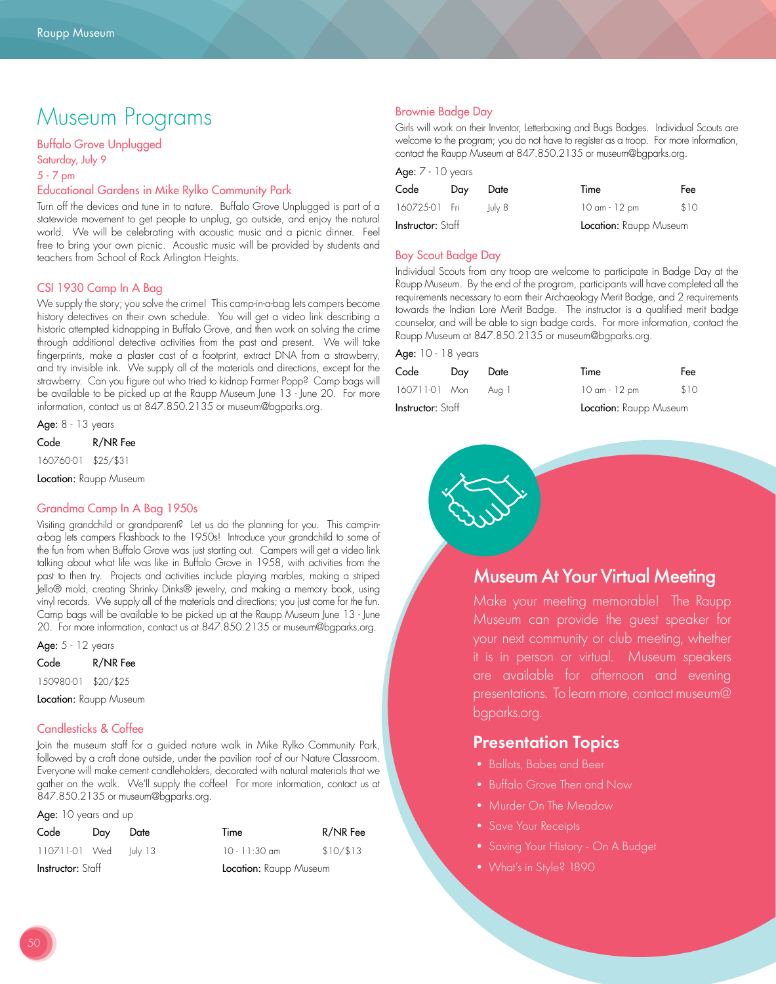# Museum Programs

# Buffalo Grove Unplugged

Saturday, July 9 5 - 7 pm

# Educational Gardens in Mike Rylko Community Park

Turn off the devices and tune in to nature. Buffalo Grove Unplugged is part of a statewide movement to get people to unplug, go outside, and enjoy the natural world. We will be celebrating with acoustic music and a picnic dinner. Feel free to bring your own picnic. Acoustic music will be provided by students and teachers from School of Rock Arlington Heights.

# CSI 1930 Camp In A Bag

We supply the story; you solve the crime! This camp-in-a-bag lets campers become history detectives on their own schedule. You will get a video link describing a historic attempted kidnapping in Buffalo Grove, and then work on solving the crime through additional detective activities from the past and present. We will take fingerprints, make a plaster cast of a footprint, extract DNA from a strawberry, and try invisible ink. We supply all of the materials and directions, except for the strawberry. Can you figure out who tried to kidnap Farmer Popp? Camp bags will be available to be picked up at the Raupp Museum June 13 - June 20. For more information, contact us at 847.850.2135 or museum@bgparks.org.

Age: 8 - 13 years

Code R/NR Fee

160760-01 \$25/\$31

Location: Raupp Museum

# Grandma Camp In A Bag 1950s

Visiting grandchild or grandparent? Let us do the planning for you. This camp-ina-bag lets campers Flashback to the 1950s! Introduce your grandchild to some of the fun from when Buffalo Grove was just starting out. Campers will get a video link talking about what life was like in Buffalo Grove in 1958, with activities from the past to then try. Projects and activities include playing marbles, making a striped Jello® mold, creating Shrinky Dinks® jewelry, and making a memory book, using vinyl records. We supply all of the materials and directions; you just come for the fun. Camp bags will be available to be picked up at the Raupp Museum June 13 - June 20. For more information, contact us at 847.850.2135 or museum@bgparks.org.

Age:  $5 - 12$  years

| Code       | R/NR Fee  |
|------------|-----------|
| 1,50980-01 | \$20/\$25 |

Location: Raupp Museum

# Candlesticks & Coffee

Join the museum staff for a guided nature walk in Mike Rylko Community Park, followed by a craft done outside, under the pavilion roof of our Nature Classroom. Everyone will make cement candleholders, decorated with natural materials that we gather on the walk. We'll supply the coffee! For more information, contact us at 847.850.2135 or museum@bgparks.org.

Age: 10 years and up

| Code              | Dav | Date                   | Time            | R/NR Fee |
|-------------------|-----|------------------------|-----------------|----------|
| 110711-01 Wed     |     | lulv 13                | $10 - 11:30$ am | \$10/13  |
| Instructor: Staff |     | Location: Raupp Museum |                 |          |

# Brownie Badge Day

Girls will work on their Inventor, Letterboxing and Bugs Badges. Individual Scouts are welcome to the program; you do not have to register as a troop. For more information, contact the Raupp Museum at 847.850.2135 or museum@bgparks.org.

| Age: $7 - 10$ years      |     |        |                        |      |
|--------------------------|-----|--------|------------------------|------|
| Code                     | Day | Date   | Time                   | Fee  |
| 160725-01 Fri            |     | luly 8 | 10 am - 12 pm          | \$10 |
| <b>Instructor:</b> Staff |     |        | Location: Raupp Museum |      |

# Boy Scout Badge Day

Individual Scouts from any troop are welcome to participate in Badge Day at the Raupp Museum. By the end of the program, participants will have completed all the requirements necessary to earn their Archaeology Merit Badge, and 2 requirements towards the Indian Lore Merit Badge. The instructor is a qualified merit badge counselor, and will be able to sign badge cards. For more information, contact the Raupp Museum at 847.850.2135 or museum@bgparks.org.

# Age: 10 - 18 years

| Code                     | Dav | Date  | Time                   | Fee  |
|--------------------------|-----|-------|------------------------|------|
| 160711-01 Mon            |     | Aug I | 10 am - 12 pm          | \$10 |
| <b>Instructor:</b> Staff |     |       | Location: Raupp Museum |      |



# Museum At Your Virtual Meeting

Make your meeting memorable! The Raupp Museum can provide the guest speaker for your next community or club meeting, whether it is in person or virtual. Museum speakers are available for afternoon and evening presentations. To learn more, contact museum@ bgparks.org.

# Presentation Topics

- Ballots, Babes and Beer
- Buffalo Grove Then and Now
- Murder On The Meadow
- Save Your Receipts
- Saving Your History On A Budget
- What's in Style? 1890